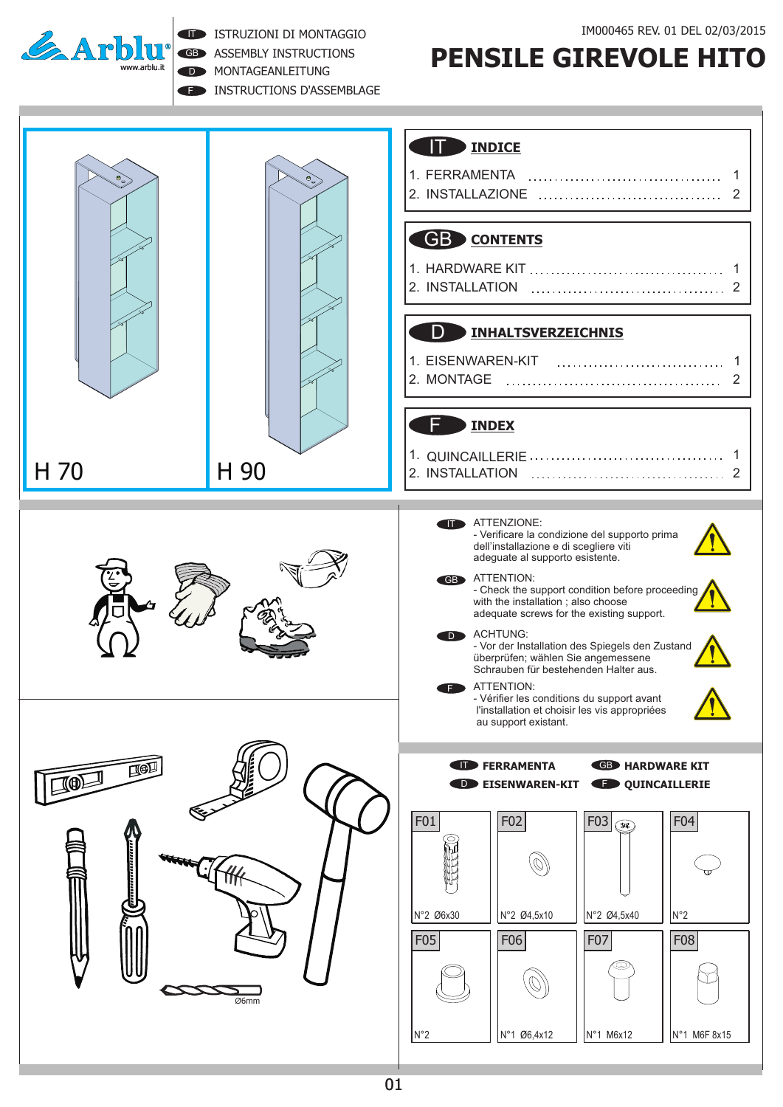

**F INSTRUCTIONS D'ASSEMBLAGE** D **MONTAGEANLEITUNG** GB ASSEMBLY INSTRUCTIONS **IT ISTRUZIONI DI MONTAGGIO** 



## **PENSILE GIREVOLE HITO**